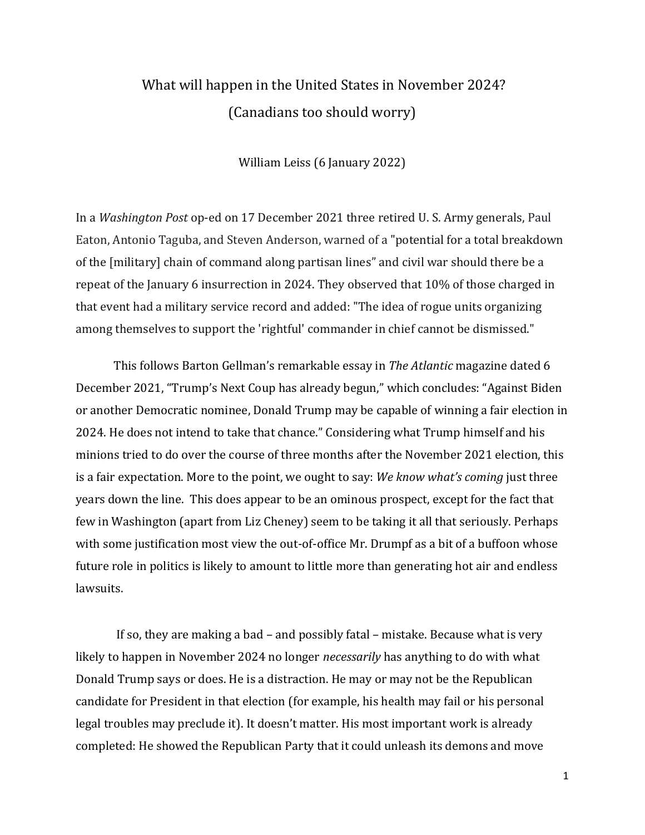# What will happen in the United States in November 2024? (Canadians too should worry)

William Leiss (6 January 2022)

In a *Washington Post* op-ed on 17 December 2021 three retired U. S. Army generals, Paul Eaton, Antonio Taguba, and Steven Anderson, warned of a "potential for a total breakdown of the [military] chain of command along partisan lines" and civil war should there be a repeat of the January 6 insurrection in 2024. They observed that 10% of those charged in that event had a military service record and added: "The idea of rogue units organizing among themselves to support the 'rightful' commander in chief cannot be dismissed."

This follows Barton Gellman's remarkable essay in *The Atlantic* magazine dated 6 December 2021, "Trump's Next Coup has already begun," which concludes: "Against Biden or another Democratic nominee, Donald Trump may be capable of winning a fair election in 2024. He does not intend to take that chance." Considering what Trump himself and his minions tried to do over the course of three months after the November 2021 election, this is a fair expectation. More to the point, we ought to say: *We know what's coming* just three years down the line. This does appear to be an ominous prospect, except for the fact that few in Washington (apart from Liz Cheney) seem to be taking it all that seriously. Perhaps with some justification most view the out-of-office Mr. Drumpf as a bit of a buffoon whose future role in politics is likely to amount to little more than generating hot air and endless lawsuits.

If so, they are making a bad – and possibly fatal – mistake. Because what is very likely to happen in November 2024 no longer *necessarily* has anything to do with what Donald Trump says or does. He is a distraction. He may or may not be the Republican candidate for President in that election (for example, his health may fail or his personal legal troubles may preclude it). It doesn't matter. His most important work is already completed: He showed the Republican Party that it could unleash its demons and move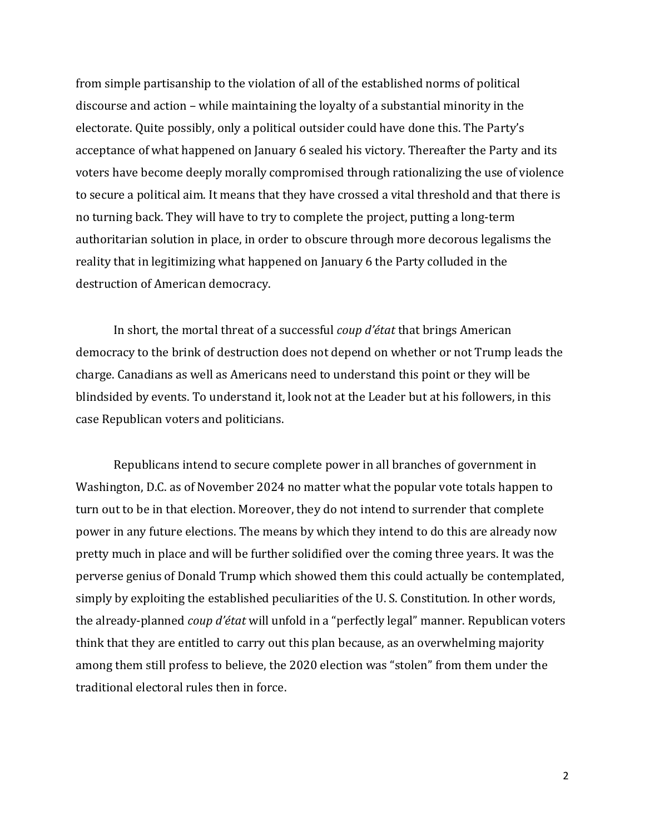from simple partisanship to the violation of all of the established norms of political discourse and action – while maintaining the loyalty of a substantial minority in the electorate. Quite possibly, only a political outsider could have done this. The Party's acceptance of what happened on January 6 sealed his victory. Thereafter the Party and its voters have become deeply morally compromised through rationalizing the use of violence to secure a political aim. It means that they have crossed a vital threshold and that there is no turning back. They will have to try to complete the project, putting a long-term authoritarian solution in place, in order to obscure through more decorous legalisms the reality that in legitimizing what happened on January 6 the Party colluded in the destruction of American democracy.

In short, the mortal threat of a successful *coup d'état* that brings American democracy to the brink of destruction does not depend on whether or not Trump leads the charge. Canadians as well as Americans need to understand this point or they will be blindsided by events. To understand it, look not at the Leader but at his followers, in this case Republican voters and politicians.

Republicans intend to secure complete power in all branches of government in Washington, D.C. as of November 2024 no matter what the popular vote totals happen to turn out to be in that election. Moreover, they do not intend to surrender that complete power in any future elections. The means by which they intend to do this are already now pretty much in place and will be further solidified over the coming three years. It was the perverse genius of Donald Trump which showed them this could actually be contemplated, simply by exploiting the established peculiarities of the U. S. Constitution. In other words, the already-planned *coup d'état* will unfold in a "perfectly legal" manner. Republican voters think that they are entitled to carry out this plan because, as an overwhelming majority among them still profess to believe, the 2020 election was "stolen" from them under the traditional electoral rules then in force.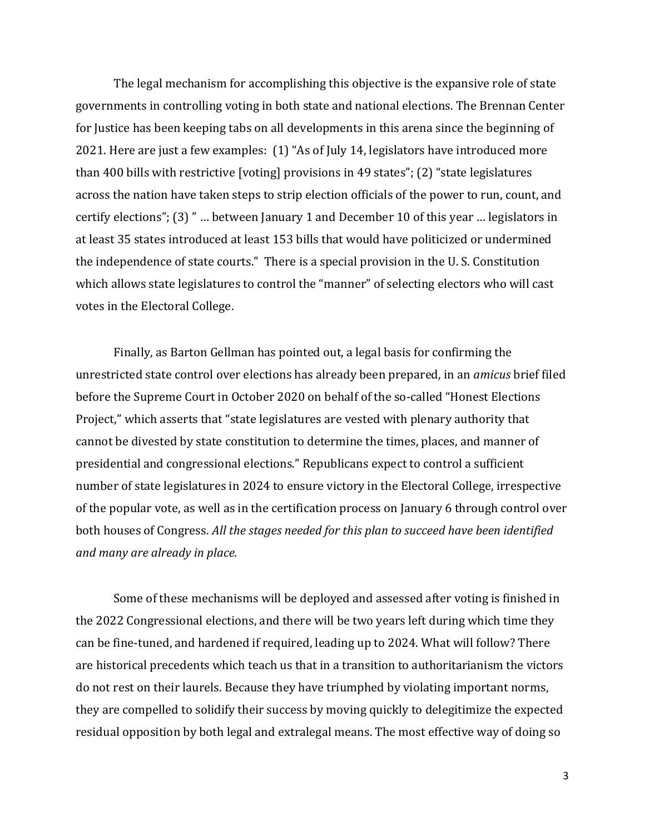The legal mechanism for accomplishing this objective is the expansive role of state governments in controlling voting in both state and national elections. The Brennan Center for Justice has been keeping tabs on all developments in this arena since the beginning of 2021. Here are just a few examples: (1) "As of July 14, legislators have introduced more than 400 bills with restrictive [voting] provisions in 49 states"; (2) "state legislatures across the nation have taken steps to strip election officials of the power to run, count, and certify elections"; (3) " … between January 1 and December 10 of this year … legislators in at least 35 states introduced at least 153 bills that would have politicized or undermined the independence of state courts." There is a special provision in the U. S. Constitution which allows state legislatures to control the "manner" of selecting electors who will cast votes in the Electoral College.

Finally, as Barton Gellman has pointed out, a legal basis for confirming the unrestricted state control over elections has already been prepared, in an *amicus* brief filed before the Supreme Court in October 2020 on behalf of the so-called "Honest Elections Project," which asserts that "state legislatures are vested with plenary authority that cannot be divested by state constitution to determine the times, places, and manner of presidential and congressional elections." Republicans expect to control a sufficient number of state legislatures in 2024 to ensure victory in the Electoral College, irrespective of the popular vote, as well as in the certification process on January 6 through control over both houses of Congress. *All the stages needed for this plan to succeed have been identified and many are already in place.*

Some of these mechanisms will be deployed and assessed after voting is finished in the 2022 Congressional elections, and there will be two years left during which time they can be fine-tuned, and hardened if required, leading up to 2024. What will follow? There are historical precedents which teach us that in a transition to authoritarianism the victors do not rest on their laurels. Because they have triumphed by violating important norms, they are compelled to solidify their success by moving quickly to delegitimize the expected residual opposition by both legal and extralegal means. The most effective way of doing so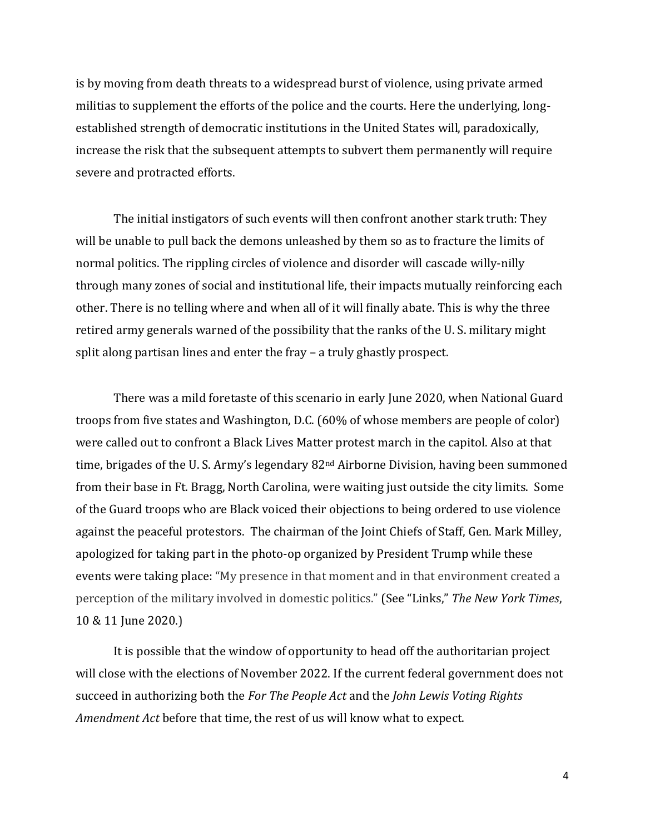is by moving from death threats to a widespread burst of violence, using private armed militias to supplement the efforts of the police and the courts. Here the underlying, longestablished strength of democratic institutions in the United States will, paradoxically, increase the risk that the subsequent attempts to subvert them permanently will require severe and protracted efforts.

The initial instigators of such events will then confront another stark truth: They will be unable to pull back the demons unleashed by them so as to fracture the limits of normal politics. The rippling circles of violence and disorder will cascade willy-nilly through many zones of social and institutional life, their impacts mutually reinforcing each other. There is no telling where and when all of it will finally abate. This is why the three retired army generals warned of the possibility that the ranks of the U. S. military might split along partisan lines and enter the fray – a truly ghastly prospect.

There was a mild foretaste of this scenario in early June 2020, when National Guard troops from five states and Washington, D.C. (60% of whose members are people of color) were called out to confront a Black Lives Matter protest march in the capitol. Also at that time, brigades of the U.S. Army's legendary 82<sup>nd</sup> Airborne Division, having been summoned from their base in Ft. Bragg, North Carolina, were waiting just outside the city limits. Some of the Guard troops who are Black voiced their objections to being ordered to use violence against the peaceful protestors. The chairman of the Joint Chiefs of Staff, Gen. Mark Milley, apologized for taking part in the photo-op organized by President Trump while these events were taking place: "My presence in that moment and in that environment created a perception of the military involved in domestic politics." (See "Links," *The New York Times*, 10 & 11 June 2020.)

It is possible that the window of opportunity to head off the authoritarian project will close with the elections of November 2022. If the current federal government does not succeed in authorizing both the *For The People Act* and the *John Lewis Voting Rights Amendment Act* before that time, the rest of us will know what to expect.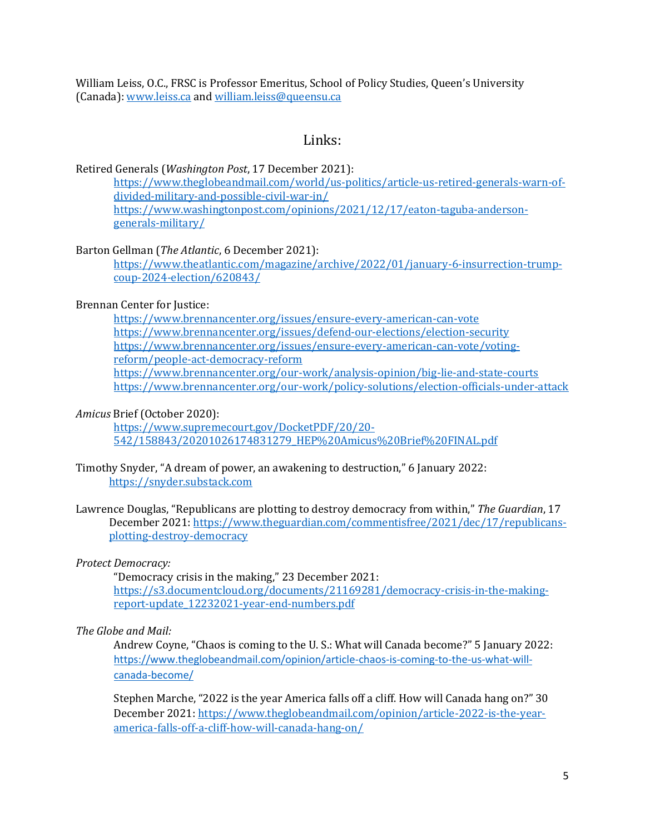William Leiss, O.C., FRSC is Professor Emeritus, School of Policy Studies, Queen's University (Canada)[: www.leiss.ca](http://www.leiss.ca/) and [william.leiss@queensu.ca](mailto:william.leiss@queensu.ca)

## Links:

#### Retired Generals (*Washington Post*, 17 December 2021):

[https://www.theglobeandmail.com/world/us-politics/article-us-retired-generals-warn-of](https://www.theglobeandmail.com/world/us-politics/article-us-retired-generals-warn-of-divided-military-and-possible-civil-war-in/)[divided-military-and-possible-civil-war-in/](https://www.theglobeandmail.com/world/us-politics/article-us-retired-generals-warn-of-divided-military-and-possible-civil-war-in/) [https://www.washingtonpost.com/opinions/2021/12/17/eaton-taguba-anderson](https://www.washingtonpost.com/opinions/2021/12/17/eaton-taguba-anderson-generals-military/)[generals-military/](https://www.washingtonpost.com/opinions/2021/12/17/eaton-taguba-anderson-generals-military/)

### Barton Gellman (*The Atlantic*, 6 December 2021):

[https://www.theatlantic.com/magazine/archive/2022/01/january-6-insurrection-trump](https://www.theatlantic.com/magazine/archive/2022/01/january-6-insurrection-trump-coup-2024-election/620843/)[coup-2024-election/620843/](https://www.theatlantic.com/magazine/archive/2022/01/january-6-insurrection-trump-coup-2024-election/620843/)

## Brennan Center for Justice:

<https://www.brennancenter.org/issues/ensure-every-american-can-vote> <https://www.brennancenter.org/issues/defend-our-elections/election-security> [https://www.brennancenter.org/issues/ensure-every-american-can-vote/voting](https://www.brennancenter.org/issues/ensure-every-american-can-vote/voting-reform/people-act-democracy-reform)[reform/people-act-democracy-reform](https://www.brennancenter.org/issues/ensure-every-american-can-vote/voting-reform/people-act-democracy-reform) <https://www.brennancenter.org/our-work/analysis-opinion/big-lie-and-state-courts> <https://www.brennancenter.org/our-work/policy-solutions/election-officials-under-attack>

### *Amicus* Brief (October 2020):

[https://www.supremecourt.gov/DocketPDF/20/20-](https://www.supremecourt.gov/DocketPDF/20/20-542/158843/20201026174831279_HEP%20Amicus%20Brief%20FINAL.pdf) [542/158843/20201026174831279\\_HEP%20Amicus%20Brief%20FINAL.pdf](https://www.supremecourt.gov/DocketPDF/20/20-542/158843/20201026174831279_HEP%20Amicus%20Brief%20FINAL.pdf)

- Timothy Snyder, "A dream of power, an awakening to destruction," 6 January 2022: [https://snyder.substack.com](https://snyder.substack.com/)
- Lawrence Douglas, "Republicans are plotting to destroy democracy from within," *The Guardian*, 17 December 2021: [https://www.theguardian.com/commentisfree/2021/dec/17/republicans](https://www.theguardian.com/commentisfree/2021/dec/17/republicans-plotting-destroy-democracy)[plotting-destroy-democracy](https://www.theguardian.com/commentisfree/2021/dec/17/republicans-plotting-destroy-democracy)

## *Protect Democracy:*

"Democracy crisis in the making," 23 December 2021: [https://s3.documentcloud.org/documents/21169281/democracy-crisis-in-the-making](https://s3.documentcloud.org/documents/21169281/democracy-crisis-in-the-making-report-update_12232021-year-end-numbers.pdf)[report-update\\_12232021-year-end-numbers.pdf](https://s3.documentcloud.org/documents/21169281/democracy-crisis-in-the-making-report-update_12232021-year-end-numbers.pdf)

## *The Globe and Mail:*

Andrew Coyne, "Chaos is coming to the U. S.: What will Canada become?" 5 January 2022: [https://www.theglobeandmail.com/opinion/article-chaos-is-coming-to-the-us-what-will](https://www.theglobeandmail.com/opinion/article-chaos-is-coming-to-the-us-what-will-canada-become/)[canada-become/](https://www.theglobeandmail.com/opinion/article-chaos-is-coming-to-the-us-what-will-canada-become/)

Stephen Marche, "2022 is the year America falls off a cliff. How will Canada hang on?" 30 December 2021: [https://www.theglobeandmail.com/opinion/article-2022-is-the-year](https://www.theglobeandmail.com/opinion/article-2022-is-the-year-america-falls-off-a-cliff-how-will-canada-hang-on/)[america-falls-off-a-cliff-how-will-canada-hang-on/](https://www.theglobeandmail.com/opinion/article-2022-is-the-year-america-falls-off-a-cliff-how-will-canada-hang-on/)